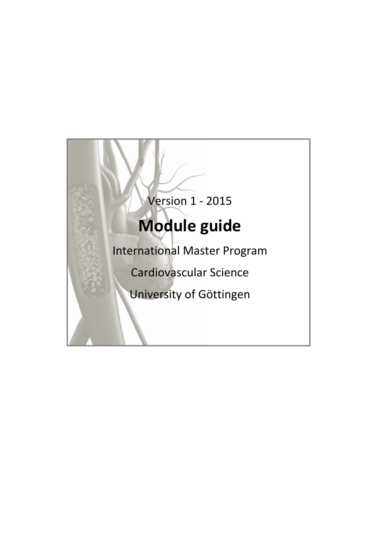# Version 1 ‐ 2015 **Module guide** International Master Program Cardiovascular Science University of Göttingen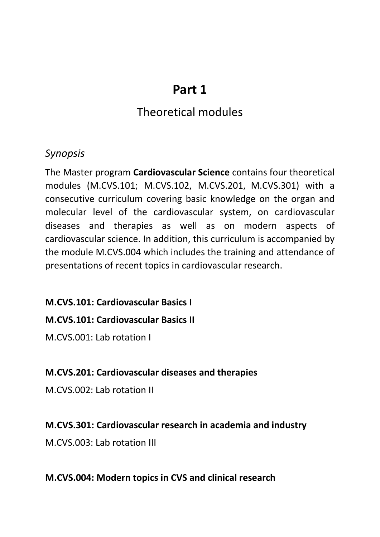# **Part 1**

## Theoretical modules

### *Synopsis*

The Master program **Cardiovascular Science** contains four theoretical modules (M.CVS.101; M.CVS.102, M.CVS.201, M.CVS.301) with a consecutive curriculum covering basic knowledge on the organ and molecular level of the cardiovascular system, on cardiovascular diseases and therapies as well as on modern aspects of cardiovascular science. In addition, this curriculum is accompanied by the module M.CVS.004 which includes the training and attendance of presentations of recent topics in cardiovascular research.

#### **M.CVS.101: Cardiovascular Basics I**

#### **M.CVS.101: Cardiovascular Basics II**

M.CVS.001: Lab rotation I

#### **M.CVS.201: Cardiovascular diseases and therapies**

M.CVS.002: Lab rotation II

#### **M.CVS.301: Cardiovascular research in academia and industry**

M.CVS.003: Lab rotation III

#### **M.CVS.004: Modern topics in CVS and clinical research**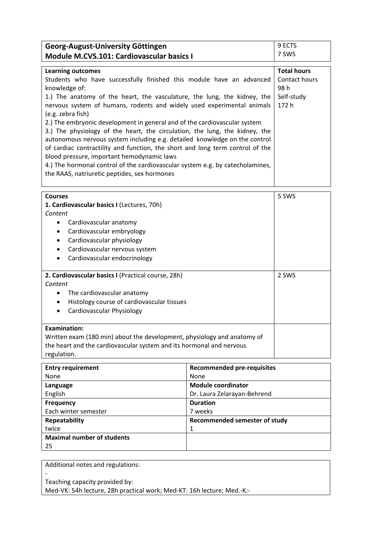| Georg-August-University Göttingen                                                           |                                   | 9 ECTS              |
|---------------------------------------------------------------------------------------------|-----------------------------------|---------------------|
| <b>Module M.CVS.101: Cardiovascular basics I</b>                                            |                                   | 7 SWS               |
|                                                                                             |                                   |                     |
| <b>Learning outcomes</b>                                                                    |                                   | <b>Total hours</b>  |
| Students who have successfully finished this module have an advanced                        |                                   | Contact hours       |
| knowledge of:                                                                               |                                   | 98h                 |
| 1.) The anatomy of the heart, the vasculature, the lung, the kidney, the                    |                                   | Self-study<br>172 h |
| nervous system of humans, rodents and widely used experimental animals<br>(e.g. zebra fish) |                                   |                     |
| 2.) The embryonic development in general and of the cardiovascular system                   |                                   |                     |
| 3.) The physiology of the heart, the circulation, the lung, the kidney, the                 |                                   |                     |
| autonomous nervous system including e.g. detailed knowledge on the control                  |                                   |                     |
| of cardiac contractility and function, the short and long term control of the               |                                   |                     |
| blood pressure, important hemodynamic laws                                                  |                                   |                     |
| 4.) The hormonal control of the cardiovascular system e.g. by catecholamines,               |                                   |                     |
| the RAAS, natriuretic peptides, sex hormones                                                |                                   |                     |
|                                                                                             |                                   |                     |
| <b>Courses</b>                                                                              |                                   |                     |
| 1. Cardiovascular basics I (Lectures, 70h)                                                  |                                   | 5 SWS               |
| Content                                                                                     |                                   |                     |
| Cardiovascular anatomy<br>٠                                                                 |                                   |                     |
| Cardiovascular embryology<br>٠                                                              |                                   |                     |
| Cardiovascular physiology                                                                   |                                   |                     |
| Cardiovascular nervous system                                                               |                                   |                     |
| Cardiovascular endocrinology<br>$\bullet$                                                   |                                   |                     |
|                                                                                             |                                   |                     |
| 2. Cardiovascular basics I (Practical course, 28h)                                          |                                   | 2 SWS               |
| Content                                                                                     |                                   |                     |
| The cardiovascular anatomy<br>$\bullet$                                                     |                                   |                     |
| Histology course of cardiovascular tissues<br>٠                                             |                                   |                     |
| Cardiovascular Physiology                                                                   |                                   |                     |
|                                                                                             |                                   |                     |
| <b>Examination:</b>                                                                         |                                   |                     |
| Written exam (180 min) about the development, physiology and anatomy of                     |                                   |                     |
| the heart and the cardiovascular system and its hormonal and nervous                        |                                   |                     |
| regulation.                                                                                 |                                   |                     |
| <b>Entry requirement</b>                                                                    | <b>Recommended pre-requisites</b> |                     |
| None                                                                                        | None                              |                     |
| Language                                                                                    | <b>Module coordinator</b>         |                     |
| English                                                                                     | Dr. Laura Zelarayan-Behrend       |                     |
| Frequency                                                                                   | <b>Duration</b>                   |                     |

7 weeks

1

**Recommended semester of study**

Additional notes and regulations: ‐

**Maximal number of students**

Each winter semester

**Repeatability**

twice

25

Teaching capacity provided by: Med‐VK: 54h lecture, 28h practical work; Med‐KT: 16h lecture; Med.‐K:‐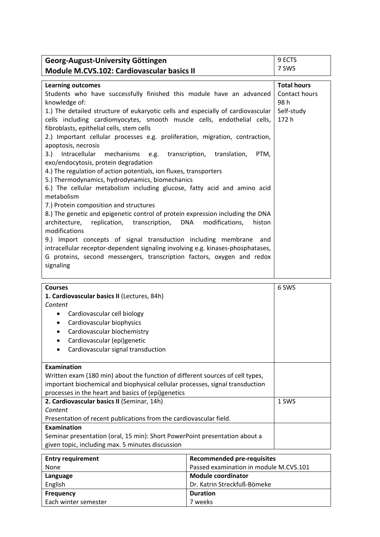| Georg-August-University Göttingen                                                                   | 9 ECTS                |
|-----------------------------------------------------------------------------------------------------|-----------------------|
| Module M.CVS.102: Cardiovascular basics II                                                          | 7 SWS                 |
|                                                                                                     |                       |
| <b>Learning outcomes</b>                                                                            | <b>Total hours</b>    |
| Students who have successfully finished this module have an advanced<br>knowledge of:               | Contact hours<br>98 h |
| 1.) The detailed structure of eukaryotic cells and especially of cardiovascular                     | Self-study            |
| cells including cardiomyocytes, smooth muscle cells, endothelial cells,                             | 172 h                 |
| fibroblasts, epithelial cells, stem cells                                                           |                       |
| 2.) Important cellular processes e.g. proliferation, migration, contraction,<br>apoptosis, necrosis |                       |
| 3.) Intracellular mechanisms e.g. transcription, translation,                                       |                       |
| PTM,<br>exo/endocytosis, protein degradation                                                        |                       |
| 4.) The regulation of action potentials, ion fluxes, transporters                                   |                       |
| 5.) Thermodynamics, hydrodynamics, biomechanics                                                     |                       |
| 6.) The cellular metabolism including glucose, fatty acid and amino acid                            |                       |
| metabolism                                                                                          |                       |
| 7.) Protein composition and structures                                                              |                       |
| 8.) The genetic and epigenetic control of protein expression including the DNA                      |                       |
| architecture, replication, transcription, DNA<br>modifications,<br>histon                           |                       |
| modifications                                                                                       |                       |
| 9.) Import concepts of signal transduction including membrane<br>and                                |                       |
| intracellular receptor-dependent signaling involving e.g. kinases-phosphatases,                     |                       |
| G proteins, second messengers, transcription factors, oxygen and redox                              |                       |
| signaling                                                                                           |                       |
|                                                                                                     |                       |

| <b>Courses</b>                                                                | 6 SWS |
|-------------------------------------------------------------------------------|-------|
| 1. Cardiovascular basics II (Lectures, 84h)                                   |       |
| Content                                                                       |       |
| Cardiovascular cell biology                                                   |       |
| Cardiovascular biophysics                                                     |       |
| Cardiovascular biochemistry                                                   |       |
| Cardiovascular (epi)genetic                                                   |       |
| Cardiovascular signal transduction                                            |       |
|                                                                               |       |
| <b>Examination</b>                                                            |       |
| Written exam (180 min) about the function of different sources of cell types, |       |
| important biochemical and biophysical cellular processes, signal transduction |       |
| processes in the heart and basics of (epi)genetics                            |       |
| 2. Cardiovascular basics II (Seminar, 14h)                                    | 1 SWS |
| Content                                                                       |       |
| Presentation of recent publications from the cardiovascular field.            |       |
| Examination                                                                   |       |
| Seminar presentation (oral, 15 min): Short PowerPoint presentation about a    |       |
| given topic, including max. 5 minutes discussion                              |       |

| <b>Entry requirement</b> | <b>Recommended pre-requisites</b>      |
|--------------------------|----------------------------------------|
| None                     | Passed examination in module M.CVS.101 |
| Language                 | <b>Module coordinator</b>              |
| English                  | Dr. Katrin Streckfuß-Bömeke            |
| <b>Frequency</b>         | <b>Duration</b>                        |
| Each winter semester     | 7 weeks                                |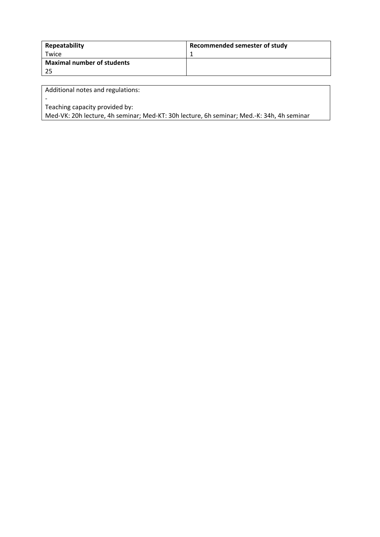| Repeatability                     | Recommended semester of study |
|-----------------------------------|-------------------------------|
| Twice                             |                               |
| <b>Maximal number of students</b> |                               |
| 25                                |                               |

Teaching capacity provided by:

‐

Med‐VK: 20h lecture, 4h seminar; Med‐KT: 30h lecture, 6h seminar; Med.‐K: 34h, 4h seminar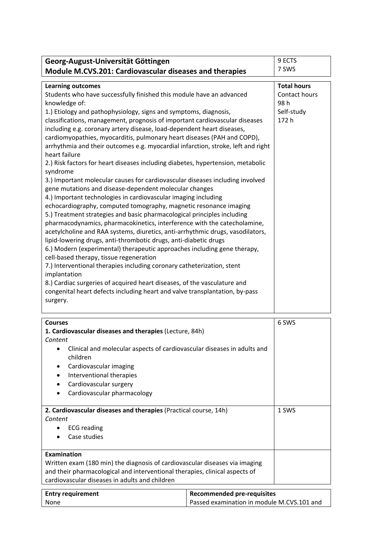| Georg-August-Universität Göttingen                                                                                                                | 9 ECTS             |
|---------------------------------------------------------------------------------------------------------------------------------------------------|--------------------|
| Module M.CVS.201: Cardiovascular diseases and therapies                                                                                           | 7 SWS              |
|                                                                                                                                                   |                    |
| <b>Learning outcomes</b>                                                                                                                          | <b>Total hours</b> |
| Students who have successfully finished this module have an advanced                                                                              | Contact hours      |
| knowledge of:                                                                                                                                     | 98 h               |
| 1.) Etiology and pathophysiology, signs and symptoms, diagnosis,                                                                                  | Self-study         |
| classifications, management, prognosis of important cardiovascular diseases                                                                       | 172 h              |
| including e.g. coronary artery disease, load-dependent heart diseases,<br>cardiomyopathies, myocarditis, pulmonary heart diseases (PAH and COPD), |                    |
| arrhythmia and their outcomes e.g. myocardial infarction, stroke, left and right                                                                  |                    |
| heart failure                                                                                                                                     |                    |
| 2.) Risk factors for heart diseases including diabetes, hypertension, metabolic                                                                   |                    |
| syndrome                                                                                                                                          |                    |
| 3.) Important molecular causes for cardiovascular diseases including involved                                                                     |                    |
| gene mutations and disease-dependent molecular changes                                                                                            |                    |
| 4.) Important technologies in cardiovascular imaging including                                                                                    |                    |
| echocardiography, computed tomography, magnetic resonance imaging                                                                                 |                    |
| 5.) Treatment strategies and basic pharmacological principles including                                                                           |                    |
| pharmacodynamics, pharmacokinetics, interference with the catecholamine,                                                                          |                    |
| acetylcholine and RAA systems, diuretics, anti-arrhythmic drugs, vasodilators,                                                                    |                    |
| lipid-lowering drugs, anti-thrombotic drugs, anti-diabetic drugs                                                                                  |                    |
| 6.) Modern (experimental) therapeutic approaches including gene therapy,                                                                          |                    |
| cell-based therapy, tissue regeneration                                                                                                           |                    |
| 7.) Interventional therapies including coronary catheterization, stent<br>implantation                                                            |                    |
| 8.) Cardiac surgeries of acquired heart diseases, of the vasculature and                                                                          |                    |
| congenital heart defects including heart and valve transplantation, by-pass                                                                       |                    |
| surgery.                                                                                                                                          |                    |
|                                                                                                                                                   |                    |
| <b>Courses</b>                                                                                                                                    | 6 SWS              |
| the top concerns the control of the control of the control of the control of the control of the control of the                                    |                    |

| <b>Courses</b>                                                                                   |                                            | 6 SWS |
|--------------------------------------------------------------------------------------------------|--------------------------------------------|-------|
| 1. Cardiovascular diseases and therapies (Lecture, 84h)                                          |                                            |       |
| Content                                                                                          |                                            |       |
| Clinical and molecular aspects of cardiovascular diseases in adults and<br>$\bullet$<br>children |                                            |       |
| Cardiovascular imaging<br>$\bullet$                                                              |                                            |       |
| Interventional therapies<br>٠                                                                    |                                            |       |
| Cardiovascular surgery                                                                           |                                            |       |
| Cardiovascular pharmacology<br>$\bullet$                                                         |                                            |       |
|                                                                                                  |                                            |       |
| 2. Cardiovascular diseases and therapies (Practical course, 14h)                                 |                                            | 1 SWS |
| Content                                                                                          |                                            |       |
| <b>ECG</b> reading                                                                               |                                            |       |
| Case studies                                                                                     |                                            |       |
|                                                                                                  |                                            |       |
| <b>Examination</b>                                                                               |                                            |       |
| Written exam (180 min) the diagnosis of cardiovascular diseases via imaging                      |                                            |       |
| and their pharmacological and interventional therapies, clinical aspects of                      |                                            |       |
| cardiovascular diseases in adults and children                                                   |                                            |       |
|                                                                                                  |                                            |       |
| <b>Entry requirement</b>                                                                         | <b>Recommended pre-requisites</b>          |       |
| None                                                                                             | Passed examination in module M.CVS.101 and |       |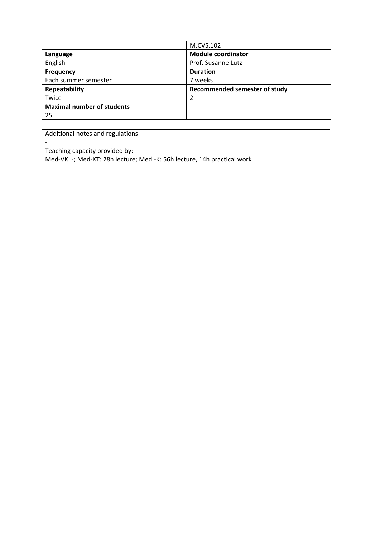|                                   | M.CVS.102                     |
|-----------------------------------|-------------------------------|
| Language                          | <b>Module coordinator</b>     |
| English                           | Prof. Susanne Lutz            |
| <b>Frequency</b>                  | <b>Duration</b>               |
| Each summer semester              | 7 weeks                       |
| Repeatability                     | Recommended semester of study |
| Twice                             |                               |
| <b>Maximal number of students</b> |                               |
| 25                                |                               |

Teaching capacity provided by:

 $\overline{\phantom{a}}$ 

Med-VK: -; Med-KT: 28h lecture; Med.-K: 56h lecture, 14h practical work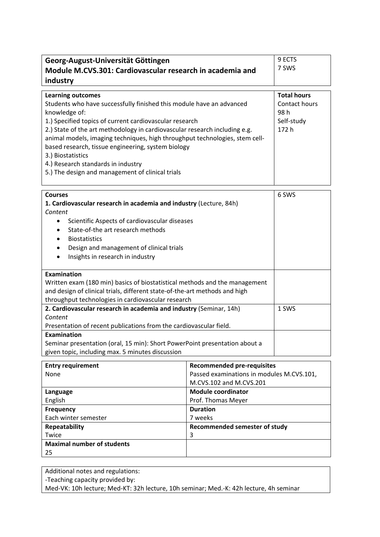| Georg-August-Universität Göttingen<br>Module M.CVS.301: Cardiovascular research in academia and                                                                                                                                                                                                                                                                                                                                                                                                                |                                                                                                           | 9 ECTS<br>7 SWS                                                   |
|----------------------------------------------------------------------------------------------------------------------------------------------------------------------------------------------------------------------------------------------------------------------------------------------------------------------------------------------------------------------------------------------------------------------------------------------------------------------------------------------------------------|-----------------------------------------------------------------------------------------------------------|-------------------------------------------------------------------|
| industry                                                                                                                                                                                                                                                                                                                                                                                                                                                                                                       |                                                                                                           |                                                                   |
| <b>Learning outcomes</b><br>Students who have successfully finished this module have an advanced<br>knowledge of:<br>1.) Specified topics of current cardiovascular research<br>2.) State of the art methodology in cardiovascular research including e.g.<br>animal models, imaging techniques, high throughput technologies, stem cell-<br>based research, tissue engineering, system biology<br>3.) Biostatistics<br>4.) Research standards in industry<br>5.) The design and management of clinical trials |                                                                                                           | <b>Total hours</b><br>Contact hours<br>98h<br>Self-study<br>172 h |
| <b>Courses</b><br>1. Cardiovascular research in academia and industry (Lecture, 84h)<br>Content<br>Scientific Aspects of cardiovascular diseases<br>$\bullet$<br>State-of-the art research methods<br><b>Biostatistics</b><br>Design and management of clinical trials<br>Insights in research in industry                                                                                                                                                                                                     |                                                                                                           | 6 SWS                                                             |
| <b>Examination</b><br>Written exam (180 min) basics of biostatistical methods and the management<br>and design of clinical trials, different state-of-the-art methods and high<br>throughput technologies in cardiovascular research                                                                                                                                                                                                                                                                           |                                                                                                           |                                                                   |
| 2. Cardiovascular research in academia and industry (Seminar, 14h)<br>Content<br>Presentation of recent publications from the cardiovascular field.                                                                                                                                                                                                                                                                                                                                                            |                                                                                                           | 1 SWS                                                             |
| Examination<br>Seminar presentation (oral, 15 min): Short PowerPoint presentation about a<br>given topic, including max. 5 minutes discussion                                                                                                                                                                                                                                                                                                                                                                  |                                                                                                           |                                                                   |
| <b>Entry requirement</b><br>None                                                                                                                                                                                                                                                                                                                                                                                                                                                                               | <b>Recommended pre-requisites</b><br>Passed examinations in modules M.CVS.101,<br>M.CVS.102 and M.CVS.201 |                                                                   |
| Language<br>English                                                                                                                                                                                                                                                                                                                                                                                                                                                                                            | <b>Module coordinator</b><br>Prof. Thomas Meyer                                                           |                                                                   |
| <b>Frequency</b><br>Each winter semester                                                                                                                                                                                                                                                                                                                                                                                                                                                                       | <b>Duration</b><br>7 weeks                                                                                |                                                                   |
| <b>Repeatability</b><br>Twice<br><b>Maximal number of students</b>                                                                                                                                                                                                                                                                                                                                                                                                                                             | Recommended semester of study<br>3                                                                        |                                                                   |

25

‐Teaching capacity provided by:

Med‐VK: 10h lecture; Med‐KT: 32h lecture, 10h seminar; Med.‐K: 42h lecture, 4h seminar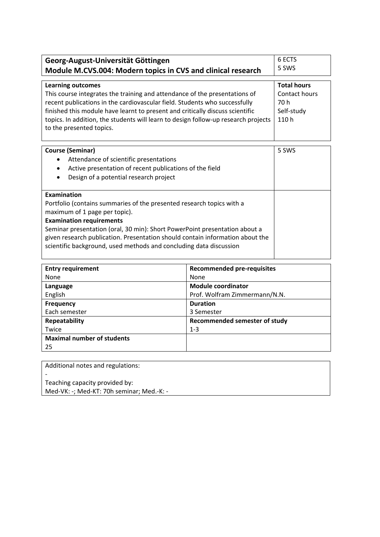| Georg-August-Universität Göttingen                                                                                                                                                                                                                                                                                                                                                                   | 6 FCTS                                                            |
|------------------------------------------------------------------------------------------------------------------------------------------------------------------------------------------------------------------------------------------------------------------------------------------------------------------------------------------------------------------------------------------------------|-------------------------------------------------------------------|
| Module M.CVS.004: Modern topics in CVS and clinical research                                                                                                                                                                                                                                                                                                                                         | 5 SWS                                                             |
| <b>Learning outcomes</b><br>This course integrates the training and attendance of the presentations of<br>recent publications in the cardiovascular field. Students who successfully<br>finished this module have learnt to present and critically discuss scientific<br>topics. In addition, the students will learn to design follow-up research projects<br>to the presented topics.              | <b>Total hours</b><br>Contact hours<br>70 h<br>Self-study<br>110h |
| <b>Course (Seminar)</b><br>Attendance of scientific presentations<br>Active presentation of recent publications of the field<br>$\bullet$<br>Design of a potential research project                                                                                                                                                                                                                  | 5 SWS                                                             |
| <b>Examination</b><br>Portfolio (contains summaries of the presented research topics with a<br>maximum of 1 page per topic).<br><b>Examination requirements</b><br>Seminar presentation (oral, 30 min): Short PowerPoint presentation about a<br>given research publication. Presentation should contain information about the<br>scientific background, used methods and concluding data discussion |                                                                   |

| <b>Entry requirement</b>          | <b>Recommended pre-requisites</b> |
|-----------------------------------|-----------------------------------|
| None                              | None                              |
| Language                          | <b>Module coordinator</b>         |
| English                           | Prof. Wolfram Zimmermann/N.N.     |
| <b>Frequency</b>                  | <b>Duration</b>                   |
| Each semester                     | 3 Semester                        |
| Repeatability                     | Recommended semester of study     |
| Twice                             | $1 - 3$                           |
| <b>Maximal number of students</b> |                                   |
| 25                                |                                   |

‐

Teaching capacity provided by: Med‐VK: ‐; Med‐KT: 70h seminar; Med.‐K: ‐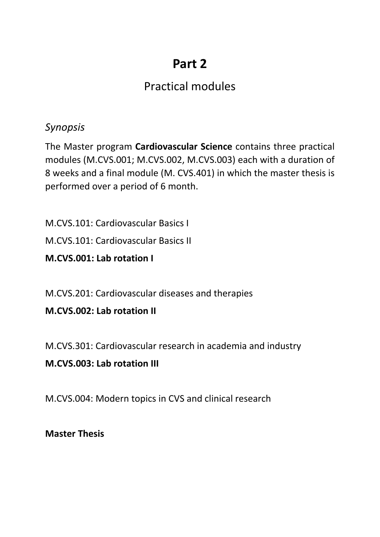# **Part 2**

# Practical modules

## *Synopsis*

The Master program **Cardiovascular Science** contains three practical modules (M.CVS.001; M.CVS.002, M.CVS.003) each with a duration of 8 weeks and a final module (M. CVS.401) in which the master thesis is performed over a period of 6 month.

M.CVS.101: Cardiovascular Basics I

M.CVS.101: Cardiovascular Basics II

**M.CVS.001: Lab rotation I**

M.CVS.201: Cardiovascular diseases and therapies

**M.CVS.002: Lab rotation II**

M.CVS.301: Cardiovascular research in academia and industry

#### **M.CVS.003: Lab rotation III**

M.CVS.004: Modern topics in CVS and clinical research

**Master Thesis**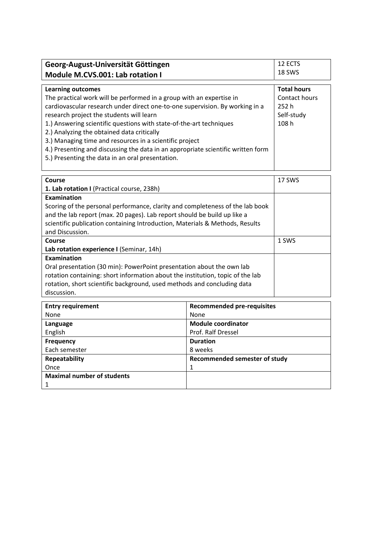| Georg-August-Universität Göttingen                                                                                                                                                                                                                                                                                                                                                                                                                                                                                                                   | 12 ECTS                                                            |
|------------------------------------------------------------------------------------------------------------------------------------------------------------------------------------------------------------------------------------------------------------------------------------------------------------------------------------------------------------------------------------------------------------------------------------------------------------------------------------------------------------------------------------------------------|--------------------------------------------------------------------|
| Module M.CVS.001: Lab rotation I                                                                                                                                                                                                                                                                                                                                                                                                                                                                                                                     | 18 SWS                                                             |
| <b>Learning outcomes</b><br>The practical work will be performed in a group with an expertise in<br>cardiovascular research under direct one-to-one supervision. By working in a<br>research project the students will learn<br>1.) Answering scientific questions with state-of-the-art techniques<br>2.) Analyzing the obtained data critically<br>3.) Managing time and resources in a scientific project<br>4.) Presenting and discussing the data in an appropriate scientific written form<br>5.) Presenting the data in an oral presentation. | <b>Total hours</b><br>Contact hours<br>252 h<br>Self-study<br>108h |

| Course                                                                         | 17 SWS |
|--------------------------------------------------------------------------------|--------|
| 1. Lab rotation I (Practical course, 238h)                                     |        |
| Examination                                                                    |        |
| Scoring of the personal performance, clarity and completeness of the lab book  |        |
| and the lab report (max. 20 pages). Lab report should be build up like a       |        |
| scientific publication containing Introduction, Materials & Methods, Results   |        |
| and Discussion.                                                                |        |
| Course                                                                         | 1 SWS  |
| Lab rotation experience I (Seminar, 14h)                                       |        |
| Examination                                                                    |        |
| Oral presentation (30 min): PowerPoint presentation about the own lab          |        |
| rotation containing: short information about the institution, topic of the lab |        |
| rotation, short scientific background, used methods and concluding data        |        |
| discussion.                                                                    |        |

| <b>Entry requirement</b>          | <b>Recommended pre-requisites</b> |
|-----------------------------------|-----------------------------------|
| None                              | None                              |
| Language                          | <b>Module coordinator</b>         |
| English                           | Prof. Ralf Dressel                |
| <b>Frequency</b>                  | <b>Duration</b>                   |
| Each semester                     | 8 weeks                           |
| Repeatability                     | Recommended semester of study     |
| Once                              |                                   |
| <b>Maximal number of students</b> |                                   |
| 1                                 |                                   |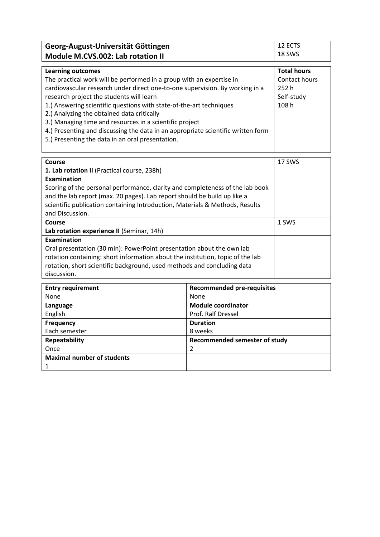| Georg-August-Universität Göttingen                                               | 12 ECTS            |
|----------------------------------------------------------------------------------|--------------------|
| Module M.CVS.002: Lab rotation II                                                | 18 SWS             |
|                                                                                  |                    |
| <b>Learning outcomes</b>                                                         | <b>Total hours</b> |
| The practical work will be performed in a group with an expertise in             | Contact hours      |
| cardiovascular research under direct one-to-one supervision. By working in a     | 252h               |
| research project the students will learn                                         | Self-study         |
| 1.) Answering scientific questions with state-of-the-art techniques              | 108 <sub>h</sub>   |
| 2.) Analyzing the obtained data critically                                       |                    |
| 3.) Managing time and resources in a scientific project                          |                    |
| 4.) Presenting and discussing the data in an appropriate scientific written form |                    |

5.) Presenting the data in an oral presentation.

| Course                                                                         | 17 SWS |
|--------------------------------------------------------------------------------|--------|
| 1. Lab rotation II (Practical course, 238h)                                    |        |
| Examination                                                                    |        |
| Scoring of the personal performance, clarity and completeness of the lab book  |        |
| and the lab report (max. 20 pages). Lab report should be build up like a       |        |
| scientific publication containing Introduction, Materials & Methods, Results   |        |
| and Discussion.                                                                |        |
| Course                                                                         | 1 SWS  |
| Lab rotation experience II (Seminar, 14h)                                      |        |
| Examination                                                                    |        |
| Oral presentation (30 min): PowerPoint presentation about the own lab          |        |
| rotation containing: short information about the institution, topic of the lab |        |
| rotation, short scientific background, used methods and concluding data        |        |
| discussion.                                                                    |        |

| <b>Entry requirement</b>          | <b>Recommended pre-requisites</b> |
|-----------------------------------|-----------------------------------|
| None                              | None                              |
| Language                          | <b>Module coordinator</b>         |
| English                           | Prof. Ralf Dressel                |
| <b>Frequency</b>                  | <b>Duration</b>                   |
| Each semester                     | 8 weeks                           |
| Repeatability                     | Recommended semester of study     |
| Once                              | 2                                 |
| <b>Maximal number of students</b> |                                   |
|                                   |                                   |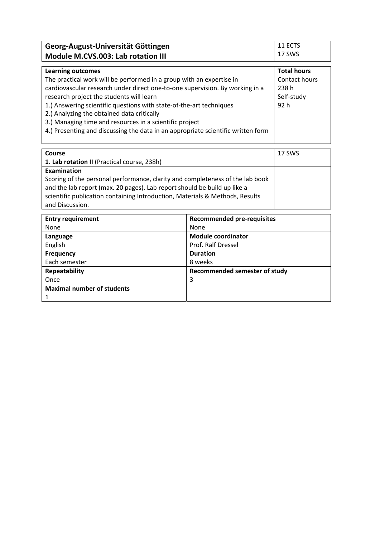| Georg-August-Universität Göttingen | $+11$ ects |
|------------------------------------|------------|
| Module M.CVS.003: Lab rotation III | 17 SWS     |

| <b>Learning outcomes</b>                                                         | <b>Total hours</b> |
|----------------------------------------------------------------------------------|--------------------|
| The practical work will be performed in a group with an expertise in             | Contact hours      |
| cardiovascular research under direct one-to-one supervision. By working in a     | 238 h              |
| research project the students will learn                                         | Self-study         |
| 1.) Answering scientific questions with state-of-the-art techniques              | 92 <sub>h</sub>    |
| 2.) Analyzing the obtained data critically                                       |                    |
| 3.) Managing time and resources in a scientific project                          |                    |
| 4.) Presenting and discussing the data in an appropriate scientific written form |                    |
|                                                                                  |                    |

| <b>Course</b>                                                                 | 17 SWS |
|-------------------------------------------------------------------------------|--------|
| 1. Lab rotation II (Practical course, 238h)                                   |        |
| Examination                                                                   |        |
| Scoring of the personal performance, clarity and completeness of the lab book |        |
| and the lab report (max. 20 pages). Lab report should be build up like a      |        |
| scientific publication containing Introduction, Materials & Methods, Results  |        |
| and Discussion.                                                               |        |

| <b>Entry requirement</b>          | <b>Recommended pre-requisites</b> |
|-----------------------------------|-----------------------------------|
| None                              | None                              |
| Language                          | <b>Module coordinator</b>         |
| English                           | Prof. Ralf Dressel                |
| <b>Frequency</b>                  | <b>Duration</b>                   |
| Each semester                     | 8 weeks                           |
| Repeatability                     | Recommended semester of study     |
| Once                              | 3                                 |
| <b>Maximal number of students</b> |                                   |
| 1                                 |                                   |